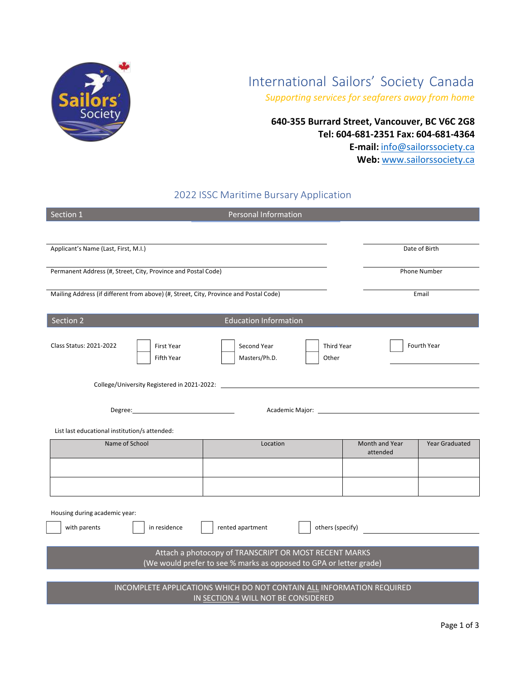

# International Sailors' Society Canada

*Supporting services for seafarers away from home*

**640-355 Burrard Street, Vancouver, BC V6C 2G8 Tel: 604-681-2351 Fax: 604-681-4364 E-mail:** info@sailorssociety.ca **Web:** www.sailorssociety.ca

## 2022 ISSC Maritime Bursary Application

| Section 1                                                                                                                   | <b>Personal Information</b>                                |                            |                       |  |
|-----------------------------------------------------------------------------------------------------------------------------|------------------------------------------------------------|----------------------------|-----------------------|--|
|                                                                                                                             |                                                            |                            |                       |  |
| Applicant's Name (Last, First, M.I.)                                                                                        |                                                            |                            | Date of Birth         |  |
|                                                                                                                             |                                                            |                            |                       |  |
| Permanent Address (#, Street, City, Province and Postal Code)                                                               |                                                            |                            | <b>Phone Number</b>   |  |
| Mailing Address (if different from above) (#, Street, City, Province and Postal Code)                                       |                                                            |                            | Email                 |  |
|                                                                                                                             |                                                            |                            |                       |  |
| Section 2<br><b>Education Information</b>                                                                                   |                                                            |                            |                       |  |
| Class Status: 2021-2022<br><b>First Year</b><br>Fifth Year                                                                  | Second Year<br><b>Third Year</b><br>Masters/Ph.D.<br>Other |                            | <b>Fourth Year</b>    |  |
| College/University Registered in 2021-2022:                                                                                 |                                                            |                            |                       |  |
|                                                                                                                             |                                                            |                            |                       |  |
| List last educational institution/s attended:                                                                               |                                                            |                            |                       |  |
| Name of School                                                                                                              | Location                                                   | Month and Year<br>attended | <b>Year Graduated</b> |  |
|                                                                                                                             |                                                            |                            |                       |  |
|                                                                                                                             |                                                            |                            |                       |  |
|                                                                                                                             |                                                            |                            |                       |  |
| Housing during academic year:                                                                                               |                                                            |                            |                       |  |
| others (specify)<br>with parents<br>rented apartment<br>in residence                                                        |                                                            |                            |                       |  |
| Attach a photocopy of TRANSCRIPT OR MOST RECENT MARKS<br>(We would prefer to see % marks as opposed to GPA or letter grade) |                                                            |                            |                       |  |
| INCOMPLETE APPLICATIONS WHICH DO NOT CONTAIN ALL INFORMATION REQUIRED<br>IN SECTION 4 WILL NOT BE CONSIDERED                |                                                            |                            |                       |  |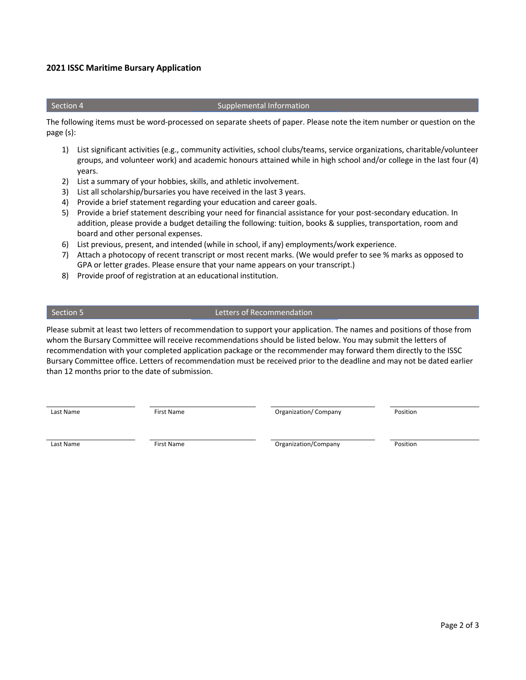### **2021 ISSC Maritime Bursary Application**

#### Section 4 Section 4 Supplemental Information

The following items must be word-processed on separate sheets of paper. Please note the item number or question on the page (s):

- 1) List significant activities (e.g., community activities, school clubs/teams, service organizations, charitable/volunteer groups, and volunteer work) and academic honours attained while in high school and/or college in the last four (4) years.
- 2) List a summary of your hobbies, skills, and athletic involvement.
- 3) List all scholarship/bursaries you have received in the last 3 years.
- 4) Provide a brief statement regarding your education and career goals.
- 5) Provide a brief statement describing your need for financial assistance for your post-secondary education. In addition, please provide a budget detailing the following: tuition, books & supplies, transportation, room and board and other personal expenses.
- 6) List previous, present, and intended (while in school, if any) employments/work experience.
- 7) Attach a photocopy of recent transcript or most recent marks. (We would prefer to see % marks as opposed to GPA or letter grades. Please ensure that your name appears on your transcript.)
- 8) Provide proof of registration at an educational institution.

### Section 5 Letters of Recommendation

Please submit at least two letters of recommendation to support your application. The names and positions of those from whom the Bursary Committee will receive recommendations should be listed below. You may submit the letters of recommendation with your completed application package or the recommender may forward them directly to the ISSC Bursary Committee office. Letters of recommendation must be received prior to the deadline and may not be dated earlier than 12 months prior to the date of submission.

Last Name The Richard Company Position Company Position

Last Name First Name First Name **Company Position**